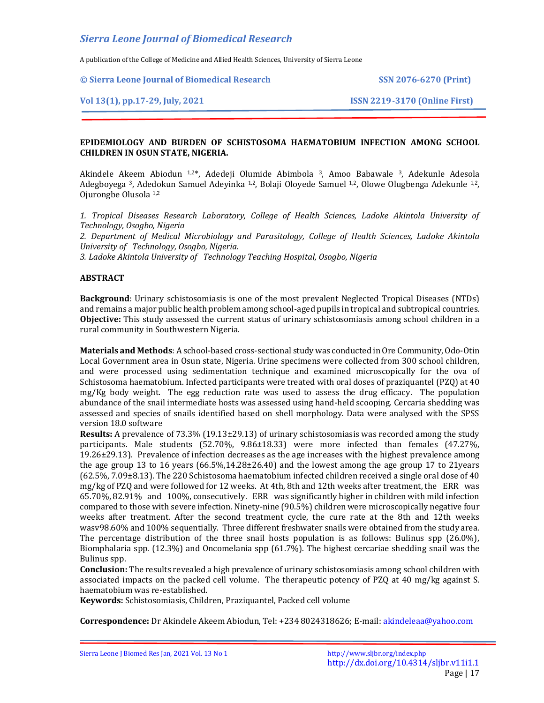A publication of the College of Medicine and Allied Health Sciences, University of Sierra Leone

**© Sierra Leone Journal of Biomedical Research SSN 2076-6270 (Print)**

## **Vol 13(1), pp.17-29, July, 2021 ISSN 2219-3170 (Online First)**

# **EPIDEMIOLOGY AND BURDEN OF SCHISTOSOMA HAEMATOBIUM INFECTION AMONG SCHOOL CHILDREN IN OSUN STATE, NIGERIA.**

Akindele Akeem Abiodun 1,2\*, Adedeji Olumide Abimbola 3, Amoo Babawale 3, Adekunle Adesola Adegboyega 3, Adedokun Samuel Adeyinka 1,2, Bolaji Oloyede Samuel 1,2, Olowe Olugbenga Adekunle 1,2, Ojurongbe Olusola 1,2

*1. Tropical Diseases Research Laboratory, College of Health Sciences, Ladoke Akintola University of Technology, Osogbo, Nigeria*

*2. Department of Medical Microbiology and Parasitology, College of Health Sciences, Ladoke Akintola University of Technology, Osogbo, Nigeria.*

*3. Ladoke Akintola University of Technology Teaching Hospital, Osogbo, Nigeria*

# **ABSTRACT**

**Background**: Urinary schistosomiasis is one of the most prevalent Neglected Tropical Diseases (NTDs) and remains a major public health problem among school-aged pupils in tropical and subtropical countries. **Objective:** This study assessed the current status of urinary schistosomiasis among school children in a rural community in Southwestern Nigeria.

**Materials and Methods**: A school-based cross-sectional study was conducted in Ore Community, Odo-Otin Local Government area in Osun state, Nigeria. Urine specimens were collected from 300 school children, and were processed using sedimentation technique and examined microscopically for the ova of Schistosoma haematobium. Infected participants were treated with oral doses of praziquantel (PZQ) at 40 mg/Kg body weight. The egg reduction rate was used to assess the drug efficacy. The population abundance of the snail intermediate hosts was assessed using hand-held scooping. Cercaria shedding was assessed and species of snails identified based on shell morphology. Data were analysed with the SPSS version 18.0 software

**Results:** A prevalence of 73.3% (19.13±29.13) of urinary schistosomiasis was recorded among the study participants. Male students (52.70%, 9.86±18.33) were more infected than females (47.27%, 19.26±29.13). Prevalence of infection decreases as the age increases with the highest prevalence among the age group 13 to 16 years  $(66.5\%,14.28\pm 26.40)$  and the lowest among the age group 17 to 21years (62.5%, 7.09±8.13). The 220 Schistosoma haematobium infected children received a single oral dose of 40 mg/kg of PZQ and were followed for 12 weeks. At 4th, 8th and 12th weeks after treatment, the ERR was 65.70%, 82.91% and 100%, consecutively. ERR was significantly higher in children with mild infection compared to those with severe infection. Ninety-nine (90.5%) children were microscopically negative four weeks after treatment. After the second treatment cycle, the cure rate at the 8th and 12th weeks wasv98.60% and 100% sequentially. Three different freshwater snails were obtained from the study area. The percentage distribution of the three snail hosts population is as follows: Bulinus spp (26.0%), Biomphalaria spp. (12.3%) and Oncomelania spp (61.7%). The highest cercariae shedding snail was the Bulinus spp.

**Conclusion:** The results revealed a high prevalence of urinary schistosomiasis among school children with associated impacts on the packed cell volume. The therapeutic potency of PZQ at 40 mg/kg against S. haematobium was re-established.

**Keywords:** Schistosomiasis, Children, Praziquantel, Packed cell volume

**Correspondence:** Dr Akindele Akeem Abiodun, Tel: +234 8024318626; E-mail: akindeleaa@yahoo.com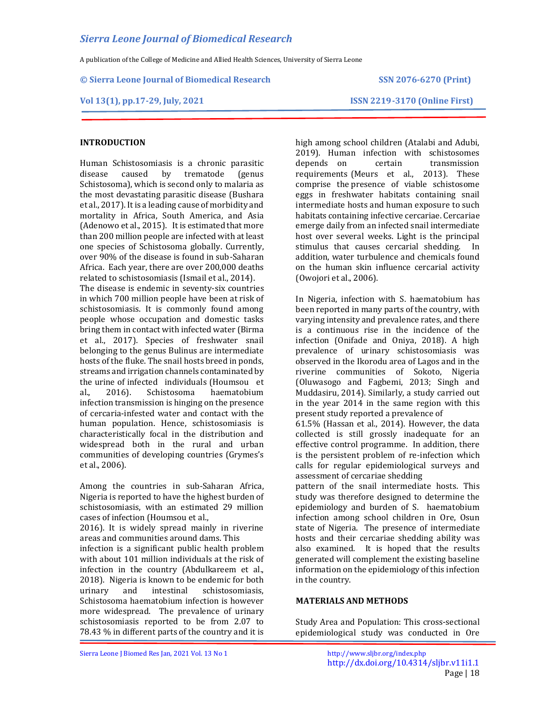A publication of the College of Medicine and Allied Health Sciences, University of Sierra Leone

### **© Sierra Leone Journal of Biomedical Research SSN 2076-6270 (Print)**

## **Vol 13(1), pp.17-29, July, 2021 ISSN 2219-3170 (Online First)**

# **INTRODUCTION**

Human Schistosomiasis is a chronic parasitic disease caused by trematode (genus Schistosoma), which is second only to malaria as the most devastating parasitic disease (Bushara et al., 2017). It is a leading cause of morbidity and mortality in Africa, South America, and Asia (Adenowo et al., 2015). It is estimated that more than 200 million people are infected with at least one species of Schistosoma globally. Currently, over 90% of the disease is found in sub-Saharan Africa. Each year, there are over 200,000 deaths related to schistosomiasis (Ismail et al., 2014).

The disease is endemic in seventy-six countries in which 700 million people have been at risk of schistosomiasis. It is commonly found among people whose occupation and domestic tasks bring them in contact with infected water (Birma et al., 2017). Species of freshwater snail belonging to the genus Bulinus are intermediate hosts of the fluke. The snail hosts breed in ponds, streams and irrigation channels contaminated by the urine of infected individuals (Houmsou et al., 2016). Schistosoma haematobium infection transmission is hinging on the presence of cercaria-infested water and contact with the human population. Hence, schistosomiasis is characteristically focal in the distribution and widespread both in the rural and urban communities of developing countries (Grymes's et al., 2006).

Among the countries in sub-Saharan Africa, Nigeria is reported to have the highest burden of schistosomiasis, with an estimated 29 million cases of infection (Houmsou et al.,

2016). It is widely spread mainly in riverine areas and communities around dams. This

infection is a significant public health problem with about 101 million individuals at the risk of infection in the country (Abdulkareem et al., 2018). Nigeria is known to be endemic for both urinary and intestinal schistosomiasis, Schistosoma haematobium infection is however more widespread. The prevalence of urinary schistosomiasis reported to be from 2.07 to 78.43 % in different parts of the country and it is

high among school children (Atalabi and Adubi, 2019). Human infection with schistosomes depends on certain transmission requirements (Meurs et al., 2013). These comprise the presence of viable schistosome eggs in freshwater habitats containing snail intermediate hosts and human exposure to such habitats containing infective cercariae. Cercariae emerge daily from an infected snail intermediate host over several weeks. Light is the principal stimulus that causes cercarial shedding. In addition, water turbulence and chemicals found on the human skin influence cercarial activity (Owojori et al., 2006).

In Nigeria, infection with S. haematobium has been reported in many parts of the country, with varying intensity and prevalence rates, and there is a continuous rise in the incidence of the infection (Onifade and Oniya, 2018). A high prevalence of urinary schistosomiasis was observed in the Ikorodu area of Lagos and in the riverine communities of Sokoto, Nigeria (Oluwasogo and Fagbemi, 2013; Singh and Muddasiru, 2014). Similarly, a study carried out in the year 2014 in the same region with this present study reported a prevalence of

61.5% (Hassan et al., 2014). However, the data collected is still grossly inadequate for an effective control programme. In addition, there is the persistent problem of re-infection which calls for regular epidemiological surveys and assessment of cercariae shedding

pattern of the snail intermediate hosts. This study was therefore designed to determine the epidemiology and burden of S. haematobium infection among school children in Ore, Osun state of Nigeria. The presence of intermediate hosts and their cercariae shedding ability was also examined. It is hoped that the results generated will complement the existing baseline information on the epidemiology of this infection in the country.

# **MATERIALS AND METHODS**

Study Area and Population: This cross-sectional epidemiological study was conducted in Ore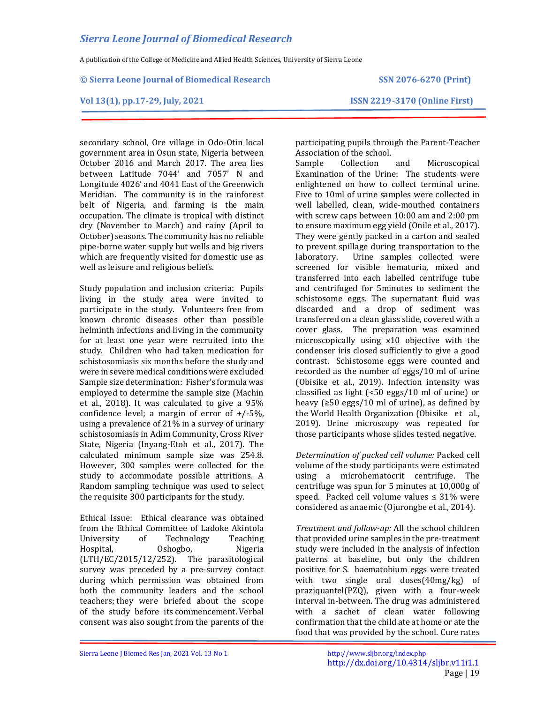A publication of the College of Medicine and Allied Health Sciences, University of Sierra Leone

### **© Sierra Leone Journal of Biomedical Research SSN 2076-6270 (Print)**

## **Vol 13(1), pp.17-29, July, 2021 ISSN 2219-3170 (Online First)**

secondary school, Ore village in Odo-Otin local government area in Osun state, Nigeria between October 2016 and March 2017. The area lies between Latitude 7044' and 7057' N and Longitude 4026' and 4041 East of the Greenwich Meridian. The community is in the rainforest belt of Nigeria, and farming is the main occupation. The climate is tropical with distinct dry (November to March) and rainy (April to October) seasons. The community has no reliable pipe-borne water supply but wells and big rivers which are frequently visited for domestic use as well as leisure and religious beliefs.

Study population and inclusion criteria: Pupils living in the study area were invited to participate in the study. Volunteers free from known chronic diseases other than possible helminth infections and living in the community for at least one year were recruited into the study. Children who had taken medication for schistosomiasis six months before the study and were in severe medical conditions were excluded Sample size determination: Fisher's formula was employed to determine the sample size (Machin et al., 2018). It was calculated to give a 95% confidence level; a margin of error of  $+/-5\%$ , using a prevalence of 21% in a survey of urinary schistosomiasis in Adim Community, Cross River State, Nigeria (Inyang-Etoh et al., 2017). The calculated minimum sample size was 254.8. However, 300 samples were collected for the study to accommodate possible attritions. A Random sampling technique was used to select the requisite 300 participants for the study.

Ethical Issue: Ethical clearance was obtained from the Ethical Committee of Ladoke Akintola University of Technology Teaching Hospital, Oshogbo, Nigeria (LTH/EC/2015/12/252). The parasitological survey was preceded by a pre-survey contact during which permission was obtained from both the community leaders and the school teachers; they were briefed about the scope of the study before its commencement. Verbal consent was also sought from the parents of the

participating pupils through the Parent-Teacher Association of the school.

Sample Collection and Microscopical Examination of the Urine: The students were enlightened on how to collect terminal urine. Five to 10ml of urine samples were collected in well labelled, clean, wide-mouthed containers with screw caps between 10:00 am and 2:00 pm to ensure maximum egg yield (Onile et al., 2017). They were gently packed in a carton and sealed to prevent spillage during transportation to the laboratory. Urine samples collected were screened for visible hematuria, mixed and transferred into each labelled centrifuge tube and centrifuged for 5minutes to sediment the schistosome eggs. The supernatant fluid was discarded and a drop of sediment was transferred on a clean glass slide, covered with a cover glass. The preparation was examined microscopically using x10 objective with the condenser iris closed sufficiently to give a good contrast. Schistosome eggs were counted and recorded as the number of eggs/10 ml of urine (Obisike et al., 2019). Infection intensity was classified as light (<50 eggs/10 ml of urine) or heavy  $\leq 50$  eggs/10 ml of urine), as defined by the World Health Organization (Obisike et al., 2019). Urine microscopy was repeated for those participants whose slides tested negative.

*Determination of packed cell volume:* Packed cell volume of the study participants were estimated using a microhematocrit centrifuge. The centrifuge was spun for 5 minutes at 10,000g of speed. Packed cell volume values  $\leq 31\%$  were considered as anaemic (Ojurongbe et al., 2014).

*Treatment and follow-up:* All the school children that provided urine samples in the pre-treatment study were included in the analysis of infection patterns at baseline, but only the children positive for S. haematobium eggs were treated with two single oral doses(40mg/kg) of praziquantel(PZQ), given with a four-week interval in-between. The drug was administered with a sachet of clean water following confirmation that the child ate at home or ate the food that was provided by the school. Cure rates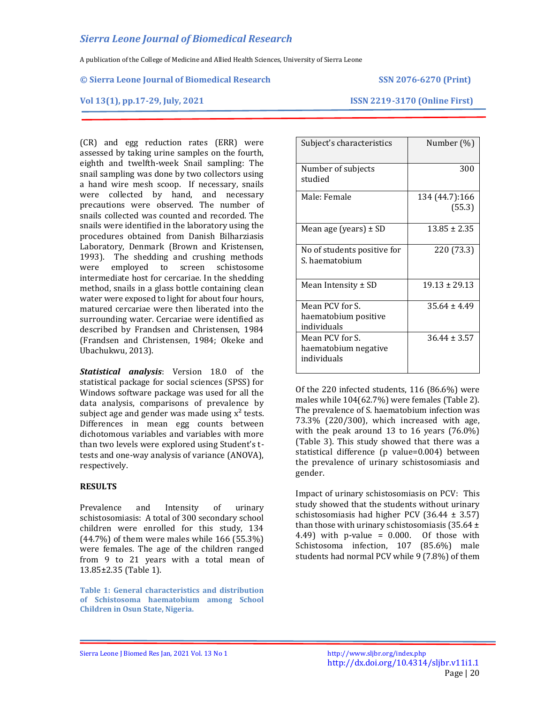A publication of the College of Medicine and Allied Health Sciences, University of Sierra Leone

### **© Sierra Leone Journal of Biomedical Research SSN 2076-6270 (Print)**

**Vol 13(1), pp.17-29, July, 2021 ISSN 2219-3170 (Online First)**

(CR) and egg reduction rates (ERR) were assessed by taking urine samples on the fourth, eighth and twelfth-week Snail sampling: The snail sampling was done by two collectors using a hand wire mesh scoop. If necessary, snails were collected by hand, and necessary precautions were observed. The number of snails collected was counted and recorded. The snails were identified in the laboratory using the procedures obtained from Danish Bilharziasis Laboratory, Denmark (Brown and Kristensen, 1993). The shedding and crushing methods were employed to screen schistosome intermediate host for cercariae. In the shedding method, snails in a glass bottle containing clean water were exposed to light for about four hours, matured cercariae were then liberated into the surrounding water. Cercariae were identified as described by Frandsen and Christensen, 1984 (Frandsen and Christensen, 1984; Okeke and Ubachukwu, 2013).

*Statistical analysis*: Version 18.0 of the statistical package for social sciences (SPSS) for Windows software package was used for all the data analysis, comparisons of prevalence by subject age and gender was made using  $x^2$  tests. Differences in mean egg counts between dichotomous variables and variables with more than two levels were explored using Student's ttests and one-way analysis of variance (ANOVA), respectively.

## **RESULTS**

Prevalence and Intensity of urinary schistosomiasis: A total of 300 secondary school children were enrolled for this study, 134 (44.7%) of them were males while 166 (55.3%) were females. The age of the children ranged from 9 to 21 years with a total mean of 13.85±2.35 (Table 1).

**Table 1: General characteristics and distribution of Schistosoma haematobium among School Children in Osun State, Nigeria.**

| Subject's characteristics                              | Number (%)               |
|--------------------------------------------------------|--------------------------|
| Number of subjects<br>studied                          | 300                      |
| Male: Female                                           | 134 (44.7):166<br>(55.3) |
| Mean age (years) $\pm$ SD                              | $13.85 \pm 2.35$         |
| No of students positive for<br>S. haematobium          | 220 (73.3)               |
| Mean Intensity $\pm$ SD                                | $19.13 \pm 29.13$        |
| Mean PCV for S.<br>haematobium positive<br>individuals | $35.64 \pm 4.49$         |
| Mean PCV for S.<br>haematobium negative<br>individuals | $36.44 \pm 3.57$         |

Of the 220 infected students, 116 (86.6%) were males while 104(62.7%) were females (Table 2). The prevalence of S. haematobium infection was 73.3% (220/300), which increased with age, with the peak around 13 to 16 years (76.0%) (Table 3). This study showed that there was a statistical difference (p value=0.004) between the prevalence of urinary schistosomiasis and gender.

Impact of urinary schistosomiasis on PCV: This study showed that the students without urinary schistosomiasis had higher PCV  $(36.44 \pm 3.57)$ than those with urinary schistosomiasis (35.64 ± 4.49) with p-value =  $0.000$ . Of those with Schistosoma infection, 107 (85.6%) male students had normal PCV while 9 (7.8%) of them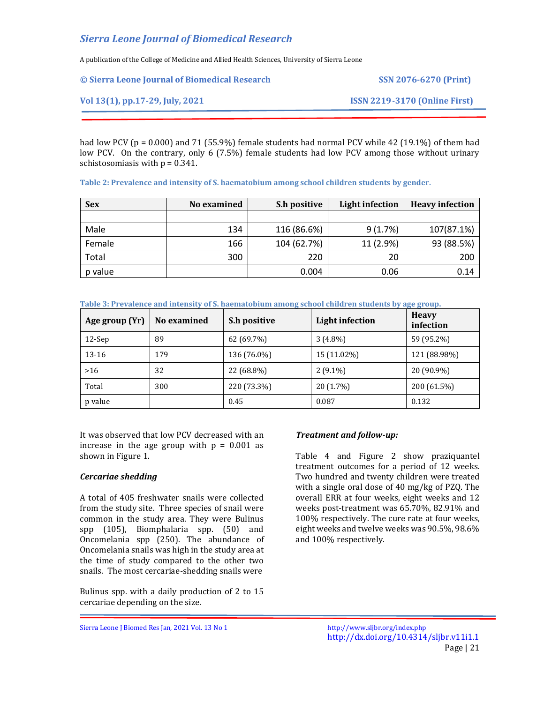A publication of the College of Medicine and Allied Health Sciences, University of Sierra Leone

| © Sierra Leone Journal of Biomedical Research | <b>SSN 2076-6270 (Print)</b>         |
|-----------------------------------------------|--------------------------------------|
| Vol 13(1), pp.17-29, July, 2021               | <b>ISSN 2219-3170 (Online First)</b> |

had low PCV (p = 0.000) and 71 (55.9%) female students had normal PCV while 42 (19.1%) of them had low PCV. On the contrary, only 6 (7.5%) female students had low PCV among those without urinary schistosomiasis with  $p = 0.341$ .

|  |  |  | Table 2: Prevalence and intensity of S. haematobium among school children students by gender. |  |
|--|--|--|-----------------------------------------------------------------------------------------------|--|
|--|--|--|-----------------------------------------------------------------------------------------------|--|

| <b>Sex</b> | No examined | S.h positive | <b>Light infection</b> | <b>Heavy infection</b> |
|------------|-------------|--------------|------------------------|------------------------|
|            |             |              |                        |                        |
| Male       | 134         | 116 (86.6%)  | 9(1.7%)                | 107(87.1%)             |
| Female     | 166         | 104 (62.7%)  | 11 (2.9%)              | 93 (88.5%)             |
| Total      | 300         | 220          | 20                     | 200                    |
| p value    |             | 0.004        | 0.06                   | 0.14                   |

|  | Table 3: Prevalence and intensity of S. haematobium among school children students by age group. |  |  |
|--|--------------------------------------------------------------------------------------------------|--|--|
|  |                                                                                                  |  |  |

| Age group (Yr) | No examined | S.h positive | <b>Light infection</b> | <b>Heavy</b><br>infection |
|----------------|-------------|--------------|------------------------|---------------------------|
| $12$ -Sep      | 89          | 62 (69.7%)   | $3(4.8\%)$             | 59 (95.2%)                |
| 13-16          | 179         | 136 (76.0%)  | 15 (11.02%)            | 121 (88.98%)              |
| $>16$          | 32          | 22 (68.8%)   | $2(9.1\%)$             | 20 (90.9%)                |
| Total          | 300         | 220 (73.3%)  | 20 (1.7%)              | 200 (61.5%)               |
| p value        |             | 0.45         | 0.087                  | 0.132                     |

It was observed that low PCV decreased with an increase in the age group with  $p = 0.001$  as shown in Figure 1.

# *Cercariae shedding*

A total of 405 freshwater snails were collected from the study site. Three species of snail were common in the study area. They were Bulinus spp (105), Biomphalaria spp. (50) and Oncomelania spp (250). The abundance of Oncomelania snails was high in the study area at the time of study compared to the other two snails. The most cercariae-shedding snails were

Bulinus spp. with a daily production of 2 to 15 cercariae depending on the size.

# *Treatment and follow-up:*

Table 4 and Figure 2 show praziquantel treatment outcomes for a period of 12 weeks. Two hundred and twenty children were treated with a single oral dose of 40 mg/kg of PZQ. The overall ERR at four weeks, eight weeks and 12 weeks post-treatment was 65.70%, 82.91% and 100% respectively. The cure rate at four weeks, eight weeks and twelve weeks was 90.5%, 98.6% and 100% respectively.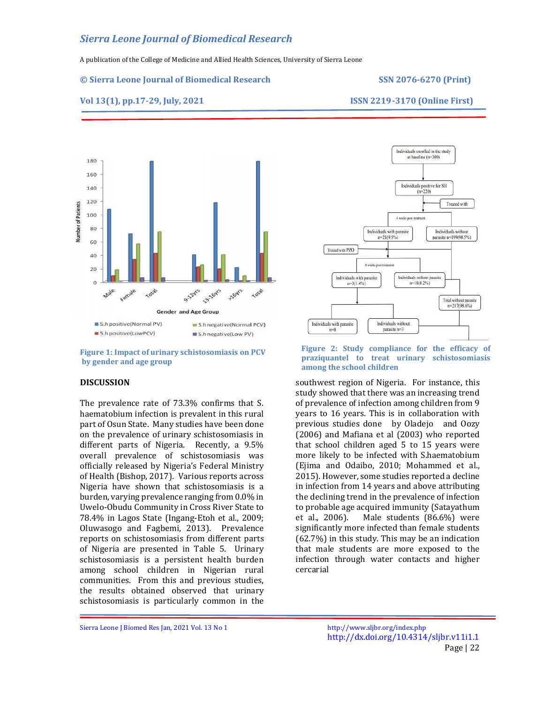A publication of the College of Medicine and Allied Health Sciences, University of Sierra Leone

#### **© Sierra Leone Journal of Biomedical Research SSN 2076-6270 (Print)**

**Vol 13(1), pp.17-29, July, 2021 ISSN 2219-3170 (Online First)**



**Figure 1: Impact of urinary schistosomiasis on PCV by gender and age group**

## **DISCUSSION**

The prevalence rate of 73.3% confirms that S. haematobium infection is prevalent in this rural part of Osun State. Many studies have been done on the prevalence of urinary schistosomiasis in different parts of Nigeria. Recently, a 9.5% overall prevalence of schistosomiasis was officially released by Nigeria's Federal Ministry of Health (Bishop, 2017). Various reports across Nigeria have shown that schistosomiasis is a burden, varying prevalence ranging from 0.0% in Uwelo-Obudu Community in Cross River State to 78.4% in Lagos State (Ingang-Etoh et al., 2009; Oluwasogo and Fagbemi, 2013). Prevalence reports on schistosomiasis from different parts of Nigeria are presented in Table 5. Urinary schistosomiasis is a persistent health burden among school children in Nigerian rural communities. From this and previous studies, the results obtained observed that urinary schistosomiasis is particularly common in the



#### **Figure 2: Study compliance for the efficacy of praziquantel to treat urinary schistosomiasis among the school children**

southwest region of Nigeria. For instance, this study showed that there was an increasing trend of prevalence of infection among children from 9 years to 16 years. This is in collaboration with previous studies done by Oladejo and Oozy (2006) and Mafiana et al (2003) who reported that school children aged 5 to 15 years were more likely to be infected with S.haematobium (Ejima and Odaibo, 2010; Mohammed et al., 2015). However, some studies reported a decline in infection from 14 years and above attributing the declining trend in the prevalence of infection to probable age acquired immunity (Satayathum et al., 2006). Male students (86.6%) were significantly more infected than female students (62.7%) in this study. This may be an indication that male students are more exposed to the infection through water contacts and higher cercarial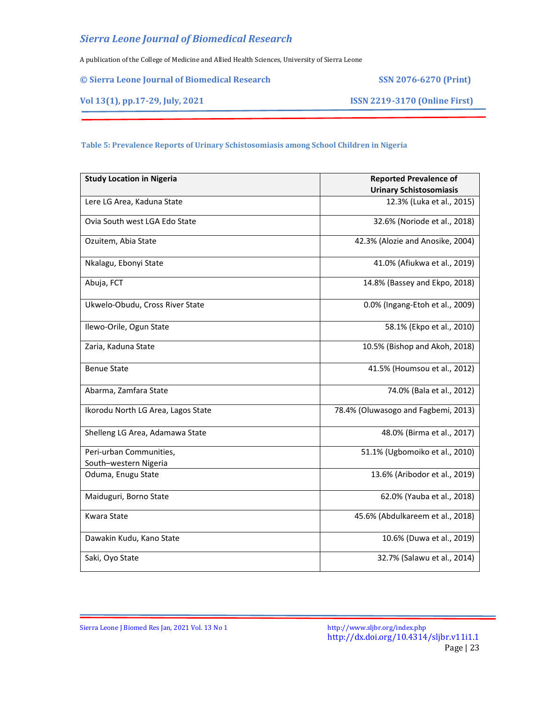A publication of the College of Medicine and Allied Health Sciences, University of Sierra Leone

|  |  |  |  | © Sierra Leone Journal of Biomedical Research |  |
|--|--|--|--|-----------------------------------------------|--|
|--|--|--|--|-----------------------------------------------|--|

**© Sierra Leone Journal of Biomedical Research SSN 2076-6270 (Print)**

**Vol 13(1), pp.17-29, July, 2021 ISSN 2219-3170 (Online First)**

# **Table 5: Prevalence Reports of Urinary Schistosomiasis among School Children in Nigeria**

| <b>Study Location in Nigeria</b>                 | <b>Reported Prevalence of</b>       |
|--------------------------------------------------|-------------------------------------|
|                                                  | <b>Urinary Schistosomiasis</b>      |
| Lere LG Area, Kaduna State                       | 12.3% (Luka et al., 2015)           |
| Ovia South west LGA Edo State                    | 32.6% (Noriode et al., 2018)        |
| Ozuitem, Abia State                              | 42.3% (Alozie and Anosike, 2004)    |
| Nkalagu, Ebonyi State                            | 41.0% (Afiukwa et al., 2019)        |
| Abuja, FCT                                       | 14.8% (Bassey and Ekpo, 2018)       |
| Ukwelo-Obudu, Cross River State                  | 0.0% (Ingang-Etoh et al., 2009)     |
| Ilewo-Orile, Ogun State                          | 58.1% (Ekpo et al., 2010)           |
| Zaria, Kaduna State                              | 10.5% (Bishop and Akoh, 2018)       |
| <b>Benue State</b>                               | 41.5% (Houmsou et al., 2012)        |
| Abarma, Zamfara State                            | 74.0% (Bala et al., 2012)           |
| Ikorodu North LG Area, Lagos State               | 78.4% (Oluwasogo and Fagbemi, 2013) |
| Shelleng LG Area, Adamawa State                  | 48.0% (Birma et al., 2017)          |
| Peri-urban Communities,<br>South-western Nigeria | 51.1% (Ugbomoiko et al., 2010)      |
| Oduma, Enugu State                               | 13.6% (Aribodor et al., 2019)       |
| Maiduguri, Borno State                           | 62.0% (Yauba et al., 2018)          |
| <b>Kwara State</b>                               | 45.6% (Abdulkareem et al., 2018)    |
| Dawakin Kudu, Kano State                         | 10.6% (Duwa et al., 2019)           |
| Saki, Oyo State                                  | 32.7% (Salawu et al., 2014)         |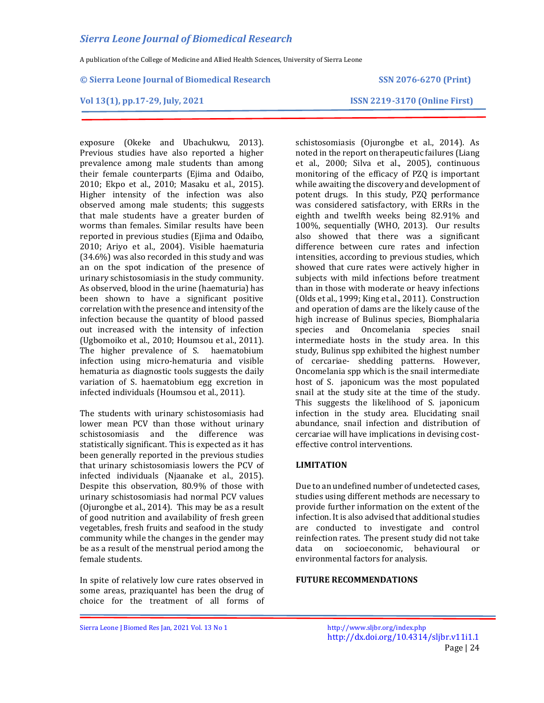A publication of the College of Medicine and Allied Health Sciences, University of Sierra Leone

#### **© Sierra Leone Journal of Biomedical Research SSN 2076-6270 (Print)**

**Vol 13(1), pp.17-29, July, 2021 ISSN 2219-3170 (Online First)**

exposure (Okeke and Ubachukwu, 2013). Previous studies have also reported a higher prevalence among male students than among their female counterparts (Ejima and Odaibo, 2010; Ekpo et al., 2010; Masaku et al., 2015). Higher intensity of the infection was also observed among male students; this suggests that male students have a greater burden of worms than females. Similar results have been reported in previous studies (Ejima and Odaibo, 2010; Ariyo et al., 2004). Visible haematuria (34.6%) was also recorded in this study and was an on the spot indication of the presence of urinary schistosomiasis in the study community. As observed, blood in the urine (haematuria) has been shown to have a significant positive correlation with the presence and intensity of the infection because the quantity of blood passed out increased with the intensity of infection (Ugbomoiko et al., 2010; Houmsou et al., 2011). The higher prevalence of S. haematobium infection using micro-hematuria and visible hematuria as diagnostic tools suggests the daily variation of S. haematobium egg excretion in infected individuals (Houmsou et al., 2011).

The students with urinary schistosomiasis had lower mean PCV than those without urinary schistosomiasis and the difference was statistically significant. This is expected as it has been generally reported in the previous studies that urinary schistosomiasis lowers the PCV of infected individuals (Njaanake et al., 2015). Despite this observation, 80.9% of those with urinary schistosomiasis had normal PCV values (Ojurongbe et al., 2014). This may be as a result of good nutrition and availability of fresh green vegetables, fresh fruits and seafood in the study community while the changes in the gender may be as a result of the menstrual period among the female students.

In spite of relatively low cure rates observed in some areas, praziquantel has been the drug of choice for the treatment of all forms of schistosomiasis (Ojurongbe et al., 2014). As noted in the report on therapeutic failures (Liang et al., 2000; Silva et al., 2005), continuous monitoring of the efficacy of PZQ is important while awaiting the discovery and development of potent drugs. In this study, PZQ performance was considered satisfactory, with ERRs in the eighth and twelfth weeks being 82.91% and 100%, sequentially (WHO, 2013). Our results also showed that there was a significant difference between cure rates and infection intensities, according to previous studies, which showed that cure rates were actively higher in subjects with mild infections before treatment than in those with moderate or heavy infections (Olds et al., 1999; King et al., 2011). Construction and operation of dams are the likely cause of the high increase of Bulinus species, Biomphalaria species and Oncomelania species snail intermediate hosts in the study area. In this study, Bulinus spp exhibited the highest number of cercariae- shedding patterns. However, Oncomelania spp which is the snail intermediate host of S. japonicum was the most populated snail at the study site at the time of the study. This suggests the likelihood of S. japonicum infection in the study area. Elucidating snail abundance, snail infection and distribution of cercariae will have implications in devising costeffective control interventions.

# **LIMITATION**

Due to an undefined number of undetected cases, studies using different methods are necessary to provide further information on the extent of the infection. It is also advised that additional studies are conducted to investigate and control reinfection rates. The present study did not take data on socioeconomic, behavioural or environmental factors for analysis.

### **FUTURE RECOMMENDATIONS**

Sierra Leone J Biomed Res Jan, 2021 Vol. 13 No 1 <http://www.sljbr.org/index.php>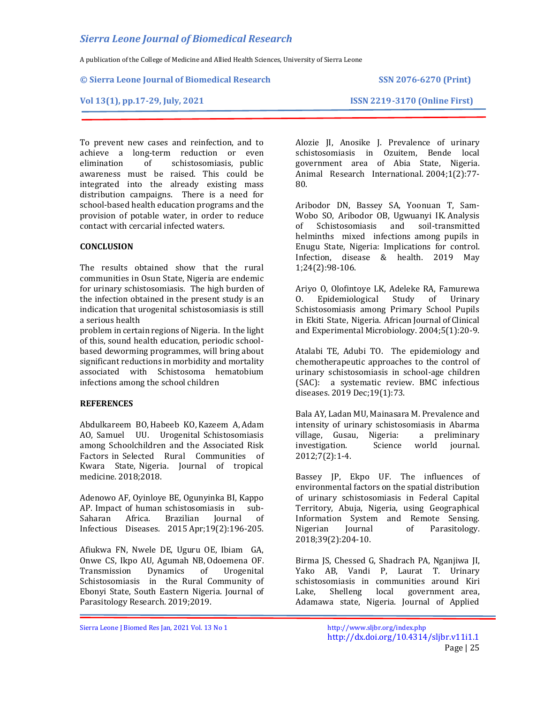A publication of the College of Medicine and Allied Health Sciences, University of Sierra Leone

### **© Sierra Leone Journal of Biomedical Research SSN 2076-6270 (Print)**

## **Vol 13(1), pp.17-29, July, 2021 ISSN 2219-3170 (Online First)**

To prevent new cases and reinfection, and to achieve a long-term reduction or even elimination of schistosomiasis, public awareness must be raised. This could be integrated into the already existing mass distribution campaigns. There is a need for school-based health education programs and the provision of potable water, in order to reduce contact with cercarial infected waters.

# **CONCLUSION**

The results obtained show that the rural communities in Osun State, Nigeria are endemic for urinary schistosomiasis. The high burden of the infection obtained in the present study is an indication that urogenital schistosomiasis is still a serious health

problem in certain regions of Nigeria. In the light of this, sound health education, periodic schoolbased deworming programmes, will bring about significant reductions in morbidity and mortality associated with Schistosoma hematobium infections among the school children

# **REFERENCES**

Abdulkareem BO, Habeeb KO, Kazeem A, Adam AO, Samuel UU. Urogenital Schistosomiasis among Schoolchildren and the Associated Risk Factors in Selected Rural Communities of Kwara State, Nigeria. Journal of tropical medicine. 2018;2018.

Adenowo AF, Oyinloye BE, Ogunyinka BI, Kappo AP. Impact of human schistosomiasis in sub-Saharan Africa. Brazilian Journal of Infectious Diseases. 2015 Apr;19(2):196-205.

Afiukwa FN, Nwele DE, Uguru OE, Ibiam GA, Onwe CS, Ikpo AU, Agumah NB, Odoemena OF. Transmission Dynamics of Urogenital Schistosomiasis in the Rural Community of Ebonyi State, South Eastern Nigeria. Journal of Parasitology Research. 2019;2019.

Alozie JI, Anosike J. Prevalence of urinary schistosomiasis in Ozuitem, Bende local government area of Abia State, Nigeria. Animal Research International. 2004;1(2):77- 80.

Aribodor DN, Bassey SA, Yoonuan T, Sam-Wobo SO, Aribodor OB, Ugwuanyi IK. Analysis of Schistosomiasis and soil-transmitted helminths mixed infections among pupils in Enugu State, Nigeria: Implications for control. Infection, disease & health. 2019 May 1;24(2):98-106.

Ariyo O, Olofintoye LK, Adeleke RA, Famurewa O. Epidemiological Study of Urinary Schistosomiasis among Primary School Pupils in Ekiti State, Nigeria. African Journal of Clinical and Experimental Microbiology. 2004;5(1):20-9.

Atalabi TE, Adubi TO. The epidemiology and chemotherapeutic approaches to the control of urinary schistosomiasis in school-age children (SAC): a systematic review. BMC infectious diseases. 2019 Dec;19(1):73.

Bala AY, Ladan MU, Mainasara M. Prevalence and intensity of urinary schistosomiasis in Abarma village, Gusau, Nigeria: a preliminary investigation. Science world journal. 2012;7(2):1-4.

Bassey JP, Ekpo UF. The influences of environmental factors on the spatial distribution of urinary schistosomiasis in Federal Capital Territory, Abuja, Nigeria, using Geographical Information System and Remote Sensing. Nigerian Journal of Parasitology. 2018;39(2):204-10.

Birma JS, Chessed G, Shadrach PA, Nganjiwa JI, Yako AB, Vandi P, Laurat T. Urinary schistosomiasis in communities around Kiri Lake, Shelleng local government area, Adamawa state, Nigeria. Journal of Applied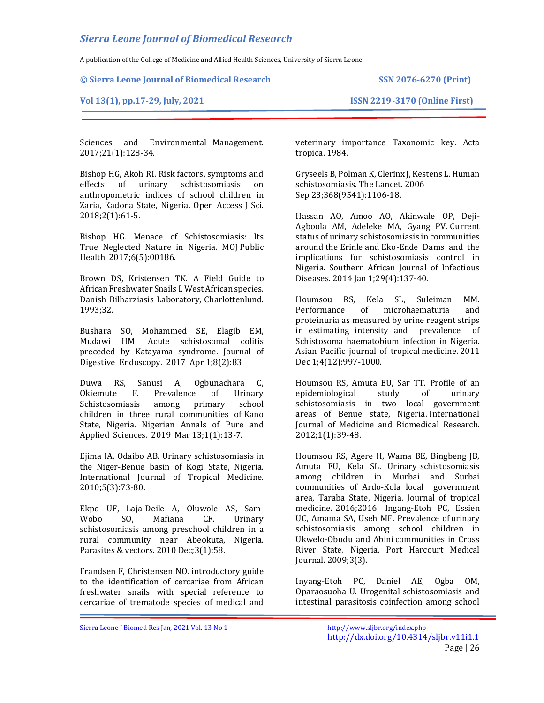A publication of the College of Medicine and Allied Health Sciences, University of Sierra Leone

**© Sierra Leone Journal of Biomedical Research SSN 2076-6270 (Print)**

## **Vol 13(1), pp.17-29, July, 2021 ISSN 2219-3170 (Online First)**

Sciences and Environmental Management. 2017;21(1):128-34.

Bishop HG, Akoh RI. Risk factors, symptoms and effects of urinary schistosomiasis on anthropometric indices of school children in Zaria, Kadona State, Nigeria. Open Access J Sci. 2018;2(1):61-5.

Bishop HG. Menace of Schistosomiasis: Its True Neglected Nature in Nigeria. MOJ Public Health. 2017;6(5):00186.

Brown DS, Kristensen TK. A Field Guide to African Freshwater Snails I. West African species. Danish Bilharziasis Laboratory, Charlottenlund. 1993;32.

Bushara SO, Mohammed SE, Elagib EM, Mudawi HM. Acute schistosomal colitis preceded by Katayama syndrome. Journal of Digestive Endoscopy. 2017 Apr 1;8(2):83

Duwa RS, Sanusi A, Ogbunachara C, Okiemute F. Prevalence of Urinary Schistosomiasis among primary school children in three rural communities of Kano State, Nigeria. Nigerian Annals of Pure and Applied Sciences. 2019 Mar 13;1(1):13-7.

Ejima IA, Odaibo AB. Urinary schistosomiasis in the Niger-Benue basin of Kogi State, Nigeria. International Journal of Tropical Medicine. 2010;5(3):73-80.

Ekpo UF, Laja-Deile A, Oluwole AS, Sam-Wobo SO, Mafiana CF. Urinary schistosomiasis among preschool children in a rural community near Abeokuta, Nigeria. Parasites & vectors. 2010 Dec;3(1):58.

Frandsen F, Christensen NO. introductory guide to the identification of cercariae from African freshwater snails with special reference to cercariae of trematode species of medical and

veterinary importance Taxonomic key. Acta tropica. 1984.

Gryseels B, Polman K, Clerinx J, Kestens L. Human schistosomiasis. The Lancet. 2006 Sep 23;368(9541):1106-18.

Hassan AO, Amoo AO, Akinwale OP, Deji-Agboola AM, Adeleke MA, Gyang PV. Current status of urinary schistosomiasis in communities around the Erinle and Eko-Ende Dams and the implications for schistosomiasis control in Nigeria. Southern African Journal of Infectious Diseases. 2014 Jan 1;29(4):137-40.

Houmsou RS, Kela SL, Suleiman MM. Performance of microhaematuria and proteinuria as measured by urine reagent strips in estimating intensity and prevalence of Schistosoma haematobium infection in Nigeria. Asian Pacific journal of tropical medicine. 2011 Dec 1;4(12):997-1000.

Houmsou RS, Amuta EU, Sar TT. Profile of an epidemiological study of urinary schistosomiasis in two local government areas of Benue state, Nigeria. International Journal of Medicine and Biomedical Research. 2012;1(1):39-48.

Houmsou RS, Agere H, Wama BE, Bingbeng JB, Amuta EU, Kela SL. Urinary schistosomiasis among children in Murbai and Surbai communities of Ardo-Kola local government area, Taraba State, Nigeria. Journal of tropical medicine. 2016;2016. Ingang-Etoh PC, Essien UC, Amama SA, Useh MF. Prevalence of urinary schistosomiasis among school children in Ukwelo-Obudu and Abini communities in Cross River State, Nigeria. Port Harcourt Medical Journal. 2009;3(3).

Inyang-Etoh PC, Daniel AE, Ogba OM, Oparaosuoha U. Urogenital schistosomiasis and intestinal parasitosis coinfection among school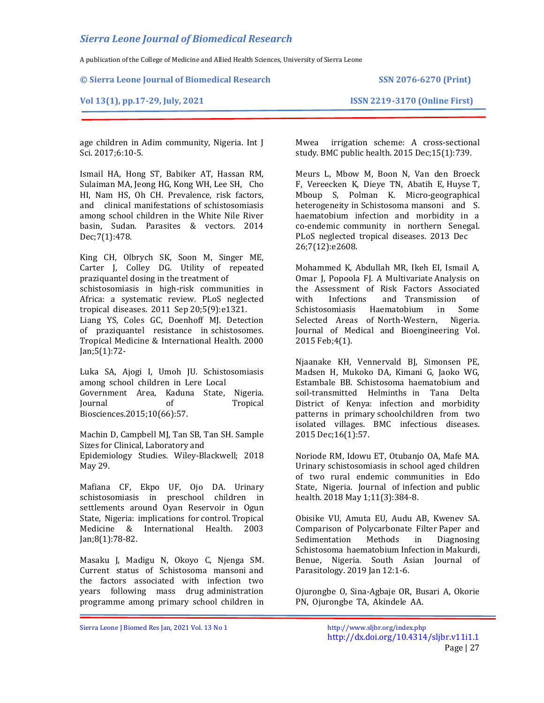A publication of the College of Medicine and Allied Health Sciences, University of Sierra Leone

**© Sierra Leone Journal of Biomedical Research SSN 2076-6270 (Print)**

**Vol 13(1), pp.17-29, July, 2021 ISSN 2219-3170 (Online First)**

age children in Adim community, Nigeria. Int J Sci. 2017;6:10-5.

Ismail HA, Hong ST, Babiker AT, Hassan RM, Sulaiman MA, Jeong HG, Kong WH, Lee SH, Cho HI, Nam HS, Oh CH. Prevalence, risk factors, and clinical manifestations of schistosomiasis among school children in the White Nile River basin, Sudan. Parasites & vectors. 2014 Dec;7(1):478.

King CH, Olbrych SK, Soon M, Singer ME, Carter J, Colley DG. Utility of repeated praziquantel dosing in the treatment of schistosomiasis in high-risk communities in Africa: a systematic review. PLoS neglected

tropical diseases. 2011 Sep 20;5(9):e1321.

Liang YS, Coles GC, Doenhoff MJ. Detection of praziquantel resistance in schistosomes. Tropical Medicine & International Health. 2000 Jan;5(1):72-

Luka SA, Ajogi I, Umoh JU. Schistosomiasis among school children in Lere Local Government Area, Kaduna State, Nigeria. Journal of Tropical Biosciences.2015;10(66):57.

Machin D, Campbell MJ, Tan SB, Tan SH. Sample Sizes for Clinical, Laboratory and

Epidemiology Studies. Wiley-Blackwell; 2018 May 29.

Mafiana CF, Ekpo UF, Ojo DA. Urinary schistosomiasis in preschool children in settlements around Oyan Reservoir in Ogun State, Nigeria: implications for control. Tropical Medicine & International Health. 2003 Jan;8(1):78-82.

Masaku J, Madigu N, Okoyo C, Njenga SM. Current status of Schistosoma mansoni and the factors associated with infection two years following mass drug administration programme among primary school children in

Mwea irrigation scheme: A cross-sectional study. BMC public health. 2015 Dec;15(1):739.

Meurs L, Mbow M, Boon N, Van den Broeck F, Vereecken K, Dieye TN, Abatih E, Huyse T, Mboup S, Polman K. Micro-geographical heterogeneity in Schistosoma mansoni and S. haematobium infection and morbidity in a co-endemic community in northern Senegal. PLoS neglected tropical diseases. 2013 Dec 26;7(12):e2608.

Mohammed K, Abdullah MR, Ikeh EI, Ismail A, Omar J, Popoola FJ. A Multivariate Analysis on the Assessment of Risk Factors Associated with Infections and Transmission of Schistosomiasis Haematobium in Some Selected Areas of North-Western, Nigeria. Journal of Medical and Bioengineering Vol. 2015 Feb;4(1).

Njaanake KH, Vennervald BJ, Simonsen PE, Madsen H, Mukoko DA, Kimani G, Jaoko WG, Estambale BB. Schistosoma haematobium and soil-transmitted Helminths in Tana Delta District of Kenya: infection and morbidity patterns in primary schoolchildren from two isolated villages. BMC infectious diseases. 2015 Dec;16(1):57.

Noriode RM, Idowu ET, Otubanjo OA, Mafe MA. Urinary schistosomiasis in school aged children of two rural endemic communities in Edo State, Nigeria. Journal of infection and public health. 2018 May 1;11(3):384-8.

Obisike VU, Amuta EU, Audu AB, Kwenev SA. Comparison of Polycarbonate Filter Paper and Sedimentation Methods in Diagnosing Schistosoma haematobium Infection in Makurdi, Benue, Nigeria. South Asian Journal of Parasitology. 2019 Jan 12:1-6.

Ojurongbe O, Sina-Agbaje OR, Busari A, Okorie PN, Ojurongbe TA, Akindele AA.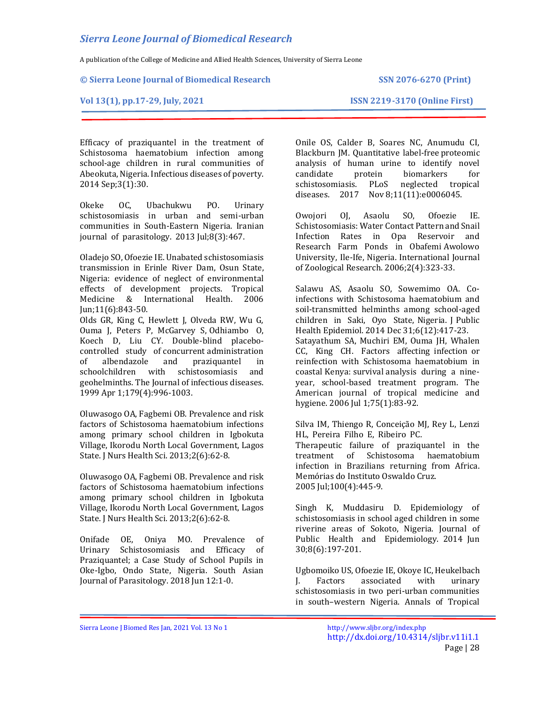A publication of the College of Medicine and Allied Health Sciences, University of Sierra Leone

### **© Sierra Leone Journal of Biomedical Research SSN 2076-6270 (Print)**

## **Vol 13(1), pp.17-29, July, 2021 ISSN 2219-3170 (Online First)**

Efficacy of praziquantel in the treatment of Schistosoma haematobium infection among school-age children in rural communities of Abeokuta, Nigeria. Infectious diseases of poverty. 2014 Sep;3(1):30.

Okeke OC, Ubachukwu PO. Urinary schistosomiasis in urban and semi-urban communities in South-Eastern Nigeria. Iranian journal of parasitology. 2013 Jul;8(3):467.

Oladejo SO, Ofoezie IE. Unabated schistosomiasis transmission in Erinle River Dam, Osun State, Nigeria: evidence of neglect of environmental effects of development projects. Tropical Medicine & International Health. 2006 Jun;11(6):843-50.

Olds GR, King C, Hewlett J, Olveda RW, Wu G, Ouma J, Peters P, McGarvey S, Odhiambo O, Koech D, Liu CY. Double-blind placebocontrolled study of concurrent administration of albendazole and praziquantel in schoolchildren with schistosomiasis and geohelminths. The Journal of infectious diseases. 1999 Apr 1;179(4):996-1003.

Oluwasogo OA, Fagbemi OB. Prevalence and risk factors of Schistosoma haematobium infections among primary school children in Igbokuta Village, Ikorodu North Local Government, Lagos State. J Nurs Health Sci. 2013;2(6):62-8.

Oluwasogo OA, Fagbemi OB. Prevalence and risk factors of Schistosoma haematobium infections among primary school children in Igbokuta Village, Ikorodu North Local Government, Lagos State. J Nurs Health Sci. 2013;2(6):62-8.

Onifade OE, Oniya MO. Prevalence of Urinary Schistosomiasis and Efficacy of Praziquantel; a Case Study of School Pupils in Oke-Igbo, Ondo State, Nigeria. South Asian Journal of Parasitology. 2018 Jun 12:1-0.

Onile OS, Calder B, Soares NC, Anumudu CI, Blackburn JM. Quantitative label-free proteomic analysis of human urine to identify novel candidate protein biomarkers for schistosomiasis. PLoS neglected tropical diseases. 2017 Nov 8;11(11):e0006045.

Owojori OJ, Asaolu SO, Ofoezie IE. Schistosomiasis: Water Contact Pattern and Snail Infection Rates in Opa Reservoir and Research Farm Ponds in Obafemi Awolowo University, Ile-Ife, Nigeria. International Journal of Zoological Research. 2006;2(4):323-33.

Salawu AS, Asaolu SO, Sowemimo OA. Coinfections with Schistosoma haematobium and soil-transmitted helminths among school-aged children in Saki, Oyo State, Nigeria. J Public Health Epidemiol. 2014 Dec 31;6(12):417-23. Satayathum SA, Muchiri EM, Ouma JH, Whalen CC, King CH. Factors affecting infection or reinfection with Schistosoma haematobium in coastal Kenya: survival analysis during a nineyear, school-based treatment program. The American journal of tropical medicine and hygiene. 2006 Jul 1;75(1):83-92.

Silva IM, Thiengo R, Conceição MJ, Rey L, Lenzi HL, Pereira Filho E, Ribeiro PC.

Therapeutic failure of praziquantel in the treatment of Schistosoma haematobium infection in Brazilians returning from Africa. Memórias do Instituto Oswaldo Cruz. 2005 Jul;100(4):445-9.

Singh K, Muddasiru D. Epidemiology of schistosomiasis in school aged children in some riverine areas of Sokoto, Nigeria. Journal of Public Health and Epidemiology. 2014 Jun 30;8(6):197-201.

Ugbomoiko US, Ofoezie IE, Okoye IC, Heukelbach J. Factors associated with urinary schistosomiasis in two peri-urban communities in south–western Nigeria. Annals of Tropical

Sierra Leone J Biomed Res Jan, 2021 Vol. 13 No 1 <http://www.sljbr.org/index.php>